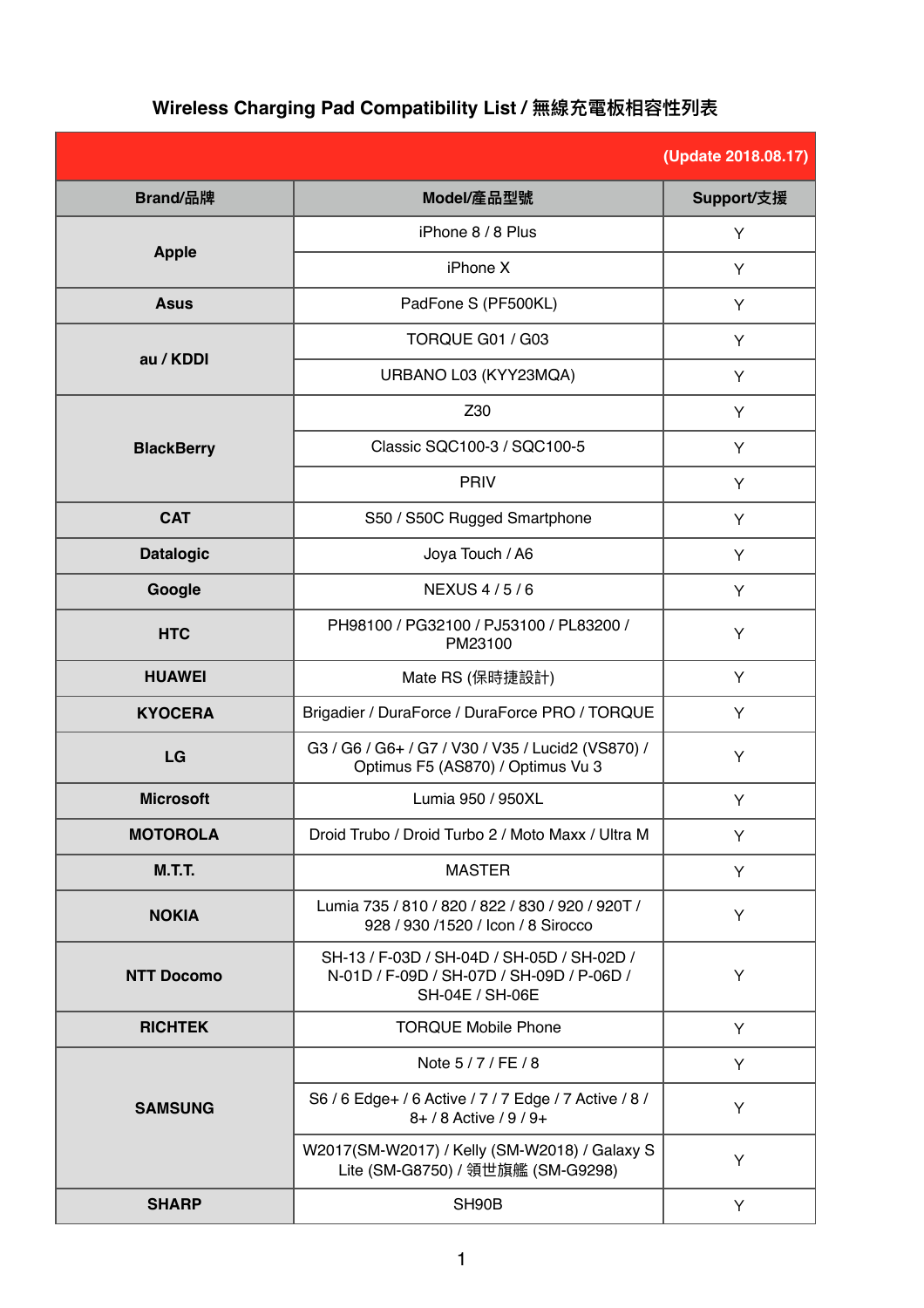## **(Update 2018.08.17) Brandler/產品型號 Support/支援 Apple** iPhone 8 / 8 Plus  $\overline{Y}$ iPhone X  $\qquad \qquad \qquad$   $\qquad \qquad$   $\qquad \qquad$   $\qquad \qquad$   $\qquad \qquad$   $\qquad \qquad$   $\qquad \qquad$   $\qquad \qquad$   $\qquad \qquad$   $\qquad \qquad$   $\qquad \qquad$   $\qquad \qquad$   $\qquad \qquad$   $\qquad \qquad$   $\qquad$   $\qquad \qquad$   $\qquad$   $\qquad$   $\qquad$   $\qquad$   $\qquad$   $\qquad$   $\qquad$   $\qquad$   $\qquad$   $\qquad$   $\qquad$   $\$ **Asus PadFone S (PF500KL)** Y **au / KDDI** TORQUE G01 / G03 Y URBANO L03 (KYY23MQA)  $\vert$   $\vert$   $\vert$   $\vert$ **BlackBerry** Z30 Y Classic SQC100-3 / SQC100-5 Y PRIV NOTE NO. 1 **CAT** S50 / S50 CRugged Smartphone V **Datalogic Joya Touch / A6** Y **Google** NEXUS 4/5/6 Y **HTC** PH98100 / PG32100 / PJ53100 / PL83200 /  $\begin{array}{c|c}\n 21007 \text{ P} \text{J} 531007 \text{ P} \text{L} 832007 \\
\text{PM} 23100\n \end{array}$ **HUAWEI Mate RS (保時捷設計)** Y **KYOCERA** Brigadier / DuraForce / DuraForce PRO / TORQUE Y LG G3 / G6 / G6+ / G7 / V30 / V35 / Lucid2 (VS870) / 6 / Go+ / G1 / V30 / V35 / Luciaz (VS870) / Text V<br>Optimus F5 (AS870) / Optimus Vu 3 **Microsoft** Microsoft **Lumia 950 / 950XL** Y **MOTOROLA** Droid Trubo / Droid Turbo 2 / Moto Maxx / Ultra M  $\gamma$ **M.T.T.** MASTER Y **NOKIA** Lumia 735 / 810 / 820 / 822 / 830 / 920 / 920T / 733 / 810 / 820 / 822 / 830 / 920 / 920 / 7<br>928 / 930 /1520 / Icon / 8 Sirocco Y **NTT Docomo** SH-13 / F-03D / SH-04D / SH-05D / SH-02D / N-01D / F-09D / SH-07D / SH-09D / P-06D / SH-04E / SH-06E Y **RICHTEK** TORQUE Mobile Phone  $\gamma$ **SAMSUNG** Note  $5/7/FE/8$  Y S6 / 6 Edge+ / 6 Active / 7 / 7 Edge / 7 Active / 8 /  $8+ / 8$  Active  $/ 9 / 9+ 8+ / 8$  active  $/ 9 / 9+ 8+ / 8$ W2017(SM-W2017) / Kelly (SM-W2018) / Galaxy S 17(3M-W2017) / Reliy (3M-W2016) / Galaxy 3<br>Lite (SM-G8750) / 領世旗艦 (SM-G9298) **SHARP** New York SH90B New York SH90B Brand/品牌

## **Wireless Charging Pad Compatibility List / 無線充電板相容性列表**